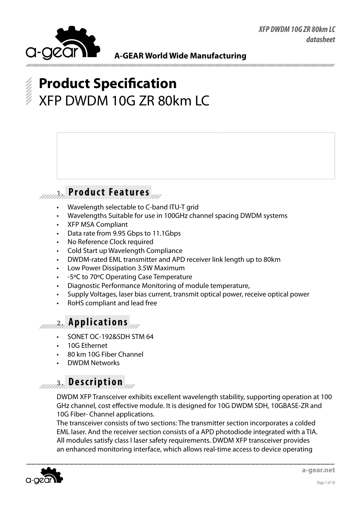

# **Product Specification** XFP DWDM 10G ZR 80km LC

### **1. Product Features**

- Wavelength selectable to C-band ITU-T grid
- Wavelengths Suitable for use in 100GHz channel spacing DWDM systems
- **XFP MSA Compliant**
- Data rate from 9.95 Gbps to 11.1Gbps
- No Reference Clock required
- Cold Start up Wavelength Compliance
- DWDM-rated EML transmitter and APD receiver link length up to 80km
- Low Power Dissipation 3.5W Maximum
- -5°C to 70°C Operating Case Temperature
- Diagnostic Performance Monitoring of module temperature,
- Supply Voltages, laser bias current, transmit optical power, receive optical power
- RoHS compliant and lead free

### **2. Applications**

- SONET OC-192&SDH STM 64
- 10G Fthernet
- 80 km 10G Fiber Channel
- **DWDM Networks**

### **3. Description**

DWDM XFP Transceiver exhibits excellent wavelength stability, supporting operation at 100 GHz channel, cost effective module. It is designed for 10G DWDM SDH, 10GBASE-ZR and 10G Fiber- Channel applications.

The transceiver consists of two sections: The transmitter section incorporates a colded EML laser. And the receiver section consists of a APD photodiode integrated with a TIA. All modules satisfy class I laser safety requirements. DWDM XFP transceiver provides an enhanced monitoring interface, which allows real-time access to device operating

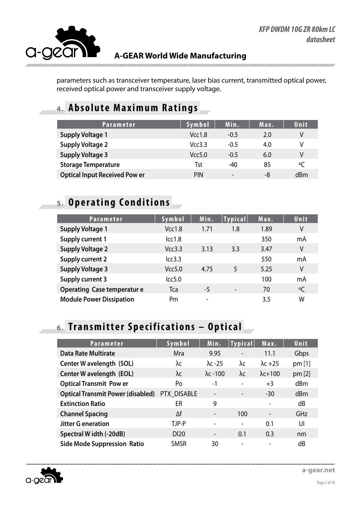

parameters such as transceiver temperature, laser bias current, transmitted optical power, received optical power and transceiver supply voltage.

### **4. Absolute Maximum Ratings**

| <b>Parameter</b>                     | Symbol     | Min.                     | Max. | Unit      |
|--------------------------------------|------------|--------------------------|------|-----------|
| <b>Supply Voltage 1</b>              | Vcc1.8     | $-0.5$                   | 2.0  | V         |
| <b>Supply Voltage 2</b>              | Vcc3.3     | $-0.5$                   | 4.0  | V         |
| <b>Supply Voltage 3</b>              | Vcc5.0     | $-0.5$                   | 6.0  | ٧         |
| <b>Storage Temperature</b>           | Tst        | $-40$                    | 85   | $\circ$ C |
| <b>Optical Input Received Pow er</b> | <b>PIN</b> | $\overline{\phantom{a}}$ | -8   | dBm       |

## *AMMA***<sup>2</sup> <b>Operating Conditions**

| <b>Parameter</b>                  | Symbol | Min. | <b>Typical</b> | Max. | Unit |
|-----------------------------------|--------|------|----------------|------|------|
| <b>Supply Voltage 1</b>           | Vcc1.8 | 1.71 | 1.8            | 1.89 | ٧    |
| <b>Supply current 1</b>           | lcc1.8 |      |                | 350  | mA   |
| <b>Supply Voltage 2</b>           | Vcc3.3 | 3.13 | 3.3            | 3.47 | V    |
| <b>Supply current 2</b>           | lcc3.3 |      |                | 550  | mA   |
| <b>Supply Voltage 3</b>           | Vcc5.0 | 4.75 | 5              | 5.25 | V    |
| <b>Supply current 3</b>           | lcc5.0 |      |                | 100  | mA   |
| <b>Operating Case temperature</b> | Tca    | $-5$ |                | 70   | °C   |
| <b>Module Power Dissipation</b>   | Pm     | -    |                | 3.5  | W    |

# **6. Transmitter Specifications – Optical**

| <b>Parameter</b>                         | Symbol      | Min.                     | <b>Typical</b> | Max.            | Unit   |
|------------------------------------------|-------------|--------------------------|----------------|-----------------|--------|
| <b>Data Rate Multirate</b>               | <b>Mra</b>  | 9.95                     | -              | 11.1            | Gbps   |
| Center W avelength (SOL)                 | λc          | $\lambda$ c -25          | λc             | $\lambda$ c +25 | pm [1] |
| Center W avelength (EOL)                 | λc          | $\lambda$ c -100         | λc             | $\lambda$ c+100 | pm [2] |
| <b>Optical Transmit Pow er</b>           | Po          | $-1$                     | -              | $+3$            | dBm    |
| <b>Optical Transmit Power (disabled)</b> | PTX DISABLE | $\overline{\phantom{a}}$ |                | $-30$           | dBm    |
| <b>Extinction Ratio</b>                  | ER          | 9                        |                |                 | dB     |
| <b>Channel Spacing</b>                   | Δf          | $\overline{\phantom{0}}$ | 100            |                 | GHz    |
| <b>Jitter G eneration</b>                | TJP-P       |                          |                | 0.1             | UI     |
| Spectral W idth (-20dB)                  | <b>DI20</b> |                          | 0.1            | 0.3             | nm     |
| <b>Side Mode Suppression Ratio</b>       | <b>SMSR</b> | 30                       |                |                 | dB     |



**a-gear.net**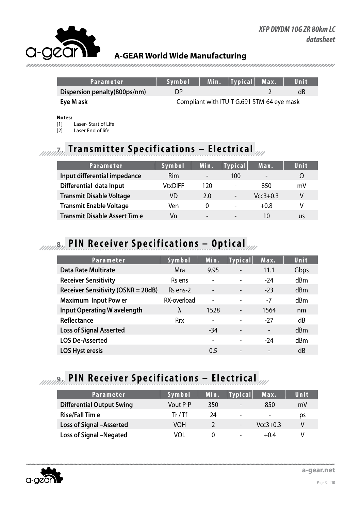| Parameter                    | Svmbol                                     |  | Min.   Typical   Max. |  | Unit |
|------------------------------|--------------------------------------------|--|-----------------------|--|------|
| Dispersion penalty(800ps/nm) | DΡ                                         |  |                       |  | dB   |
| Eye M ask                    | Compliant with ITU-T G.691 STM-64 eye mask |  |                       |  |      |

#### **Notes:**

[1] Laser- Start of Life

[2] Laser End of life

## **7. Transmitter Specifications – Electrical**

| <b>Parameter</b>                    | Symbol         | Min.                     | <b>Typical</b>               | Max.       | Unit |
|-------------------------------------|----------------|--------------------------|------------------------------|------------|------|
| Input differential impedance        | Rim            | -                        | 100                          | -          | Ω    |
| Differential data Input             | <b>VtxDIFF</b> | 120                      | $\overline{\phantom{a}}$     | 850        | mV   |
| <b>Transmit Disable Voltage</b>     | VD             | 2.0                      | $\overline{\phantom{a}}$     | $Vcc3+0.3$ | ۷    |
| <b>Transmit Enable Voltage</b>      | Ven            |                          | $\qquad \qquad \blacksquare$ | $+0.8$     | V    |
| <b>Transmit Disable Assert Time</b> | Vn             | $\overline{\phantom{0}}$ | $\overline{\phantom{0}}$     | 10         | us   |

# **8. PIN Receiver Specifications – Optical**

| <b>Parameter</b>                          | Symbol      | Min.                     | <b>Typical</b>               | Max.                     | Unit |
|-------------------------------------------|-------------|--------------------------|------------------------------|--------------------------|------|
| <b>Data Rate Multirate</b>                | Mra         | 9.95                     | $\overline{\phantom{a}}$     | 11.1                     | Gbps |
| <b>Receiver Sensitivity</b>               | Rs ens      | $\overline{\phantom{m}}$ | $\overline{\phantom{0}}$     | $-24$                    | dBm  |
| <b>Receiver Sensitivity (OSNR = 20dB)</b> | Rs ens-2    | $\overline{\phantom{a}}$ | $\overline{\phantom{a}}$     | $-23$                    | dBm  |
| <b>Maximum Input Pow er</b>               | RX-overload | $\overline{\phantom{a}}$ | $\overline{\phantom{0}}$     | $-7$                     | dBm  |
| <b>Input Operating W avelength</b>        | λ           | 1528                     | $\overline{\phantom{m}}$     | 1564                     | nm   |
| Reflectance                               | <b>Rrx</b>  | $\qquad \qquad -$        | ۰                            | $-27$                    | dB   |
| <b>Loss of Signal Asserted</b>            |             | -34                      | $\overline{\phantom{a}}$     | $\overline{\phantom{a}}$ | dBm  |
| <b>LOS De-Asserted</b>                    |             | -                        | $\overline{\phantom{0}}$     | $-24$                    | dBm  |
| <b>LOS Hyst eresis</b>                    |             | 0.5                      | $\qquad \qquad \blacksquare$ | $\overline{a}$           | dB   |

## **9. PIN Receiver Specifications – Electrical**

| Parameter                        | <b>Symbol</b> | Min. | $ $ Typical $ $          | Max.                     | Unit |
|----------------------------------|---------------|------|--------------------------|--------------------------|------|
| <b>Differential Output Swing</b> | Vout P-P      | 350  | $\overline{\phantom{0}}$ | 850                      | mV   |
| <b>Rise/Fall Time</b>            | Tr / Tf       | 24   | $\overline{\phantom{0}}$ | $\overline{\phantom{0}}$ | ps   |
| <b>Loss of Signal -Asserted</b>  | VOH           |      | $\overline{\phantom{a}}$ | $Vcc3+0.3-$              |      |
| <b>Loss of Signal -Negated</b>   | VOL           |      | -                        | $+0.4$                   |      |



**a-gear.net**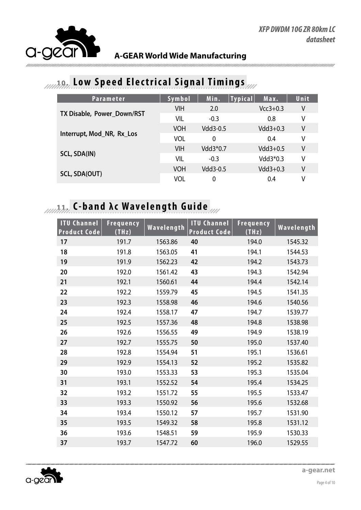

### **10. Low Speed Electrical Signal Timings**

| <b>Parameter</b>           | Symbol     | Min.     | <b>Typical</b> | Max.       | Unit, |
|----------------------------|------------|----------|----------------|------------|-------|
|                            | <b>VIH</b> | 2.0      |                | $Vcc3+0.3$ | ۷     |
| TX Disable, Power Down/RST | VIL        | $-0.3$   |                | 0.8        | ٧     |
|                            | <b>VOH</b> | Vdd3-0.5 |                | $Vdd3+0.3$ | ٧     |
| Interrupt, Mod_NR, Rx_Los  | <b>VOL</b> | $\Omega$ |                | 0.4        | ٧     |
|                            | <b>VIH</b> | Vdd3*0.7 |                | $Vdd3+0.5$ | V     |
| <b>SCL, SDA(IN)</b>        | VIL        | $-0.3$   |                | Vdd3*0.3   | ٧     |
|                            | <b>VOH</b> | Vdd3-0.5 |                | $Vdd3+0.3$ | V     |
| SCL, SDA(OUT)              | VOL        | $\Omega$ |                | 0.4        | V     |

# **11. 11. 11. C-band λc Wavelength Guide**

| <b>ITU Channel</b><br><b>Product Code</b> | <b>Frequency</b><br>(THz) | Wavelength | <b>ITU Channel</b><br><b>Product Code</b> | Frequency<br>(THz) | Wavelength |
|-------------------------------------------|---------------------------|------------|-------------------------------------------|--------------------|------------|
| 17                                        | 191.7                     | 1563.86    | 40                                        | 194.0              | 1545.32    |
| 18                                        | 191.8                     | 1563.05    | 41                                        | 194.1              | 1544.53    |
| 19                                        | 191.9                     | 1562.23    | 42                                        | 194.2              | 1543.73    |
| 20                                        | 192.0                     | 1561.42    | 43                                        | 194.3              | 1542.94    |
| 21                                        | 192.1                     | 1560.61    | 44                                        | 194.4              | 1542.14    |
| 22                                        | 192.2                     | 1559.79    | 45                                        | 194.5              | 1541.35    |
| 23                                        | 192.3                     | 1558.98    | 46                                        | 194.6              | 1540.56    |
| 24                                        | 192.4                     | 1558.17    | 47                                        | 194.7              | 1539.77    |
| 25                                        | 192.5                     | 1557.36    | 48                                        | 194.8              | 1538.98    |
| 26                                        | 192.6                     | 1556.55    | 49                                        | 194.9              | 1538.19    |
| 27                                        | 192.7                     | 1555.75    | 50                                        | 195.0              | 1537.40    |
| 28                                        | 192.8                     | 1554.94    | 51                                        | 195.1              | 1536.61    |
| 29                                        | 192.9                     | 1554.13    | 52                                        | 195.2              | 1535.82    |
| 30                                        | 193.0                     | 1553.33    | 53                                        | 195.3              | 1535.04    |
| 31                                        | 193.1                     | 1552.52    | 54                                        | 195.4              | 1534.25    |
| 32                                        | 193.2                     | 1551.72    | 55                                        | 195.5              | 1533.47    |
| 33                                        | 193.3                     | 1550.92    | 56                                        | 195.6              | 1532.68    |
| 34                                        | 193.4                     | 1550.12    | 57                                        | 195.7              | 1531.90    |
| 35                                        | 193.5                     | 1549.32    | 58                                        | 195.8              | 1531.12    |
| 36                                        | 193.6                     | 1548.51    | 59                                        | 195.9              | 1530.33    |
| 37                                        | 193.7                     | 1547.72    | 60                                        | 196.0              | 1529.55    |



**a-gear.net**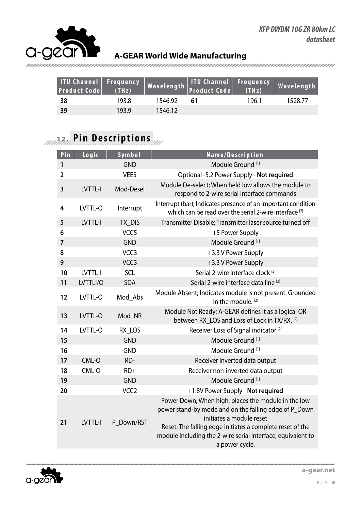

| ITU Channel Frequency<br><b>Product Code</b> | (THz) |         | Wavelength   ITU Channel   Frequency  <br>  Wavelength   Product Code   (THz) |       | Wavelength |
|----------------------------------------------|-------|---------|-------------------------------------------------------------------------------|-------|------------|
| - 38                                         | 193.8 | 1546.92 | 61                                                                            | 196.1 | 1528.77    |
| 39                                           | 193.9 | 1546.12 |                                                                               |       |            |

# **12. Pin Descriptions**

| Logic    | Symbol           | Name/Description                                                                                                                                                                                                                                                                       |
|----------|------------------|----------------------------------------------------------------------------------------------------------------------------------------------------------------------------------------------------------------------------------------------------------------------------------------|
|          | <b>GND</b>       | Module Ground <sup>[1]</sup>                                                                                                                                                                                                                                                           |
|          | VEE <sub>5</sub> | Optional -5.2 Power Supply - Not required                                                                                                                                                                                                                                              |
| LVTTL-I  | Mod-Desel        | Module De-select; When held low allows the module to<br>respond to 2-wire serial interface commands                                                                                                                                                                                    |
| LVTTL-O  | Interrupt        | Interrupt (bar); Indicates presence of an important condition<br>which can be read over the serial 2-wire interface <sup>[2]</sup>                                                                                                                                                     |
| LVTTL-I  | TX_DIS           | Transmitter Disable; Transmitter laser source turned off                                                                                                                                                                                                                               |
|          | VCC <sub>5</sub> | +5 Power Supply                                                                                                                                                                                                                                                                        |
|          | <b>GND</b>       | Module Ground <sup>[1]</sup>                                                                                                                                                                                                                                                           |
|          | VCC <sub>3</sub> | +3.3 V Power Supply                                                                                                                                                                                                                                                                    |
|          | VCC <sub>3</sub> | +3.3 V Power Supply                                                                                                                                                                                                                                                                    |
| LVTTL-I  | SCL              | Serial 2-wire interface clock <sup>[2]</sup>                                                                                                                                                                                                                                           |
| LVTTLI/O | <b>SDA</b>       | Serial 2-wire interface data line [2]                                                                                                                                                                                                                                                  |
| LVTTL-O  | Mod Abs          | Module Absent; Indicates module is not present. Grounded<br>in the module. <sup>[2]</sup>                                                                                                                                                                                              |
| LVTTL-O  | Mod_NR           | Module Not Ready; A-GEAR defines it as a logical OR<br>between RX LOS and Loss of Lock in TX/RX. [2]                                                                                                                                                                                   |
| LVTTL-O  | RX_LOS           | Receiver Loss of Signal indicator <sup>[2]</sup>                                                                                                                                                                                                                                       |
|          | <b>GND</b>       | Module Ground <sup>[1]</sup>                                                                                                                                                                                                                                                           |
|          | <b>GND</b>       | Module Ground <sup>[1]</sup>                                                                                                                                                                                                                                                           |
| CML-O    | RD-              | Receiver inverted data output                                                                                                                                                                                                                                                          |
| CML-O    | $RD+$            | Receiver non-inverted data output                                                                                                                                                                                                                                                      |
|          | <b>GND</b>       | Module Ground <sup>[1]</sup>                                                                                                                                                                                                                                                           |
|          | VCC <sub>2</sub> | +1.8V Power Supply - Not required                                                                                                                                                                                                                                                      |
| LVTTL-I  | P Down/RST       | Power Down; When high, places the module in the low<br>power stand-by mode and on the falling edge of P_Down<br>initiates a module reset<br>Reset; The falling edge initiates a complete reset of the<br>module including the 2-wire serial interface, equivalent to<br>a power cycle. |
|          |                  |                                                                                                                                                                                                                                                                                        |

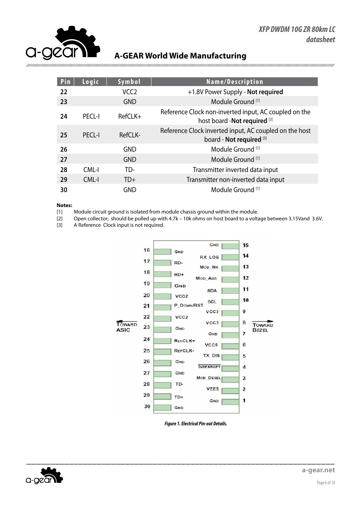

*mmmmmm* 

#### **A-GEAR World Wide Manufacturing**

| Pin | Logic         | Symbol           | Name/Description                                                                       |
|-----|---------------|------------------|----------------------------------------------------------------------------------------|
| 22  |               | VCC <sub>2</sub> | +1.8V Power Supply - Not required                                                      |
| 23  |               | <b>GND</b>       | Module Ground <sup>[1]</sup>                                                           |
| 24  | PFCI-I        | $RefCLK+$        | Reference Clock non-inverted input, AC coupled on the<br>host board - Not required [3] |
| 25  | <b>PECL-I</b> | RefCLK-          | Reference Clock inverted input, AC coupled on the host<br>board - Not required [3]     |
| 26  |               | <b>GND</b>       | Module Ground <sup>[1]</sup>                                                           |
| 27  |               | <b>GND</b>       | Module Ground <sup>[1]</sup>                                                           |
| 28  | CML-I         | TD-              | Transmitter inverted data input                                                        |
| 29  | CML-I         | $TD+$            | Transmitter non-inverted data input                                                    |
| 30  |               | <b>GND</b>       | Module Ground [1]                                                                      |

#### **Notes:**

[1] Module circuit ground is isolated from module chassis ground within the module.

[2] Open collector; should be pulled up with 4.7k – 10k ohms on host board to a voltage between 3.15Vand 3.6V.

[3] A Reference Clock input is not required.



*Figure 1. Electrical Pin-out Details.*

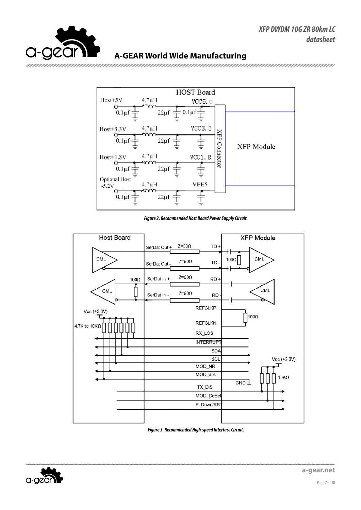



*Figure 2. Recommended Host Board Power Supply Circuit.*



*Figure 3. Recommended High-speed Interface Circuit.*

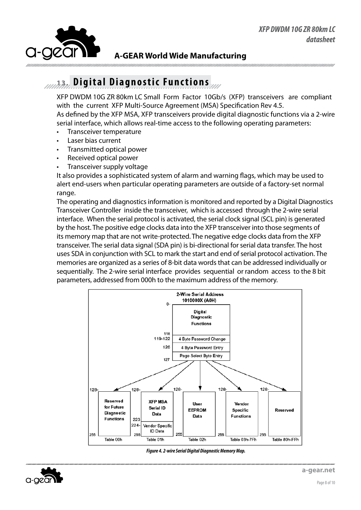

### **13. Digital Diagnostic Functions**

XFP DWDM 10G ZR 80km LC Small Form Factor 10Gb/s (XFP) transceivers are compliant with the current XFP Multi-Source Agreement (MSA) Specification Rev 4.5. As defined by the XFP MSA, XFP transceivers provide digital diagnostic functions via a 2-wire

serial interface, which allows real-time access to the following operating parameters:

- • Transceiver temperature
- Laser bias current
- Transmitted optical power
- Received optical power
- Transceiver supply voltage

It also provides a sophisticated system of alarm and warning flags, which may be used to alert end-users when particular operating parameters are outside of a factory-set normal range.

The operating and diagnostics information is monitored and reported by a Digital Diagnostics Transceiver Controller inside the transceiver, which is accessed through the 2-wire serial interface. When the serial protocol is activated, the serial clock signal (SCL pin) is generated by the host. The positive edge clocks data into the XFP transceiver into those segments of its memory map that are not write-protected. The negative edge clocks data from the XFP transceiver. The serial data signal (SDA pin) is bi-directional for serial data transfer. The host uses SDA in conjunction with SCL to mark the start and end of serial protocol activation. The memories are organized as a series of 8-bit data words that can be addressed individually or sequentially. The 2-wire serial interface provides sequential or random access to the 8 bit parameters, addressed from 000h to the maximum address of the memory.



*Figure 4. 2-wire Serial Digital Diagnostic Memory Map.*

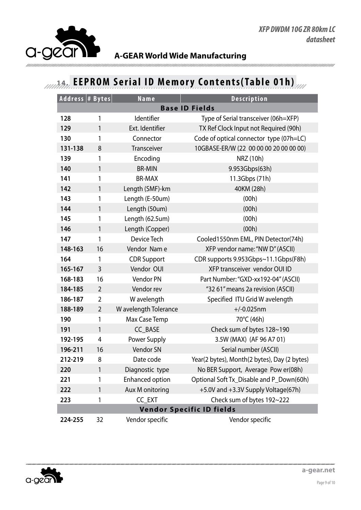

## **14. EEPROM Serial ID Memory Contents(Table 01h)**

| Address # Bytes                  |                | <b>Name</b>           | <b>Description</b>                           |
|----------------------------------|----------------|-----------------------|----------------------------------------------|
|                                  |                |                       | <b>Base ID Fields</b>                        |
| 128                              | 1              | Identifier            | Type of Serial transceiver (06h=XFP)         |
| 129                              | 1              | Ext. Identifier       | TX Ref Clock Input not Required (90h)        |
| 130                              | 1              | Connector             | Code of optical connector type (07h=LC)      |
| 131-138                          | 8              | Transceiver           | 10GBASE-ER/W (22 00 00 00 20 00 00 00)       |
| 139                              | 1              | Encoding              | NRZ (10h)                                    |
| 140                              | 1              | <b>BR-MIN</b>         | 9.953Gbps(63h)                               |
| 141                              | 1              | <b>BR-MAX</b>         | 11.3Gbps (71h)                               |
| 142                              | $\mathbf{1}$   | Length (SMF)-km       | 40KM (28h)                                   |
| 143                              | 1              | Length (E-50um)       | (00h)                                        |
| 144                              | 1              | Length (50um)         | (00h)                                        |
| 145                              | 1              | Length (62.5um)       | (00h)                                        |
| 146                              | 1              | Length (Copper)       | (00h)                                        |
| 147                              | 1              | Device Tech           | Cooled1550nm EML, PIN Detector(74h)          |
| 148-163                          | 16             | Vendor Nam e          | XFP vendor name: "NW D" (ASCII)              |
| 164                              | 1              | <b>CDR Support</b>    | CDR supports 9.953Gbps~11.1Gbps(F8h)         |
| 165-167                          | 3              | Vendor OUI            | XFP transceiver vendor OUI ID                |
| 168-183                          | 16             | Vendor PN             | Part Number: "GXD-xx192-04" (ASCII)          |
| 184-185                          | $\overline{2}$ | Vendor rev            | "32 61" means 2a revision (ASCII)            |
| 186-187                          | $\overline{2}$ | W avelength           | Specified ITU Grid W avelength               |
| 188-189                          | $\overline{2}$ | W avelength Tolerance | $+/-0.025$ nm                                |
| 190                              | 1              | Max Case Temp         | 70°C (46h)                                   |
| 191                              | 1              | CC_BASE               | Check sum of bytes 128~190                   |
| 192-195                          | 4              | Power Supply          | 3.5W (MAX) (AF 96 A7 01)                     |
| 196-211                          | 16             | Vendor SN             | Serial number (ASCII)                        |
| 212-219                          | 8              | Date code             | Year(2 bytes), Month(2 bytes), Day (2 bytes) |
| 220                              | 1              | Diagnostic type       | No BER Support, Average Pow er(08h)          |
| 221                              | 1              | Enhanced option       | Optional Soft Tx_Disable and P_Down(60h)     |
| 222                              | 1              | Aux M onitoring       | +5.0V and +3.3V Supply Voltage(67h)          |
| 223                              | 1              | CC_EXT                | Check sum of bytes 192~222                   |
| <b>Vendor Specific ID fields</b> |                |                       |                                              |
| 224-255                          | 32             | Vendor specific       | Vendor specific                              |